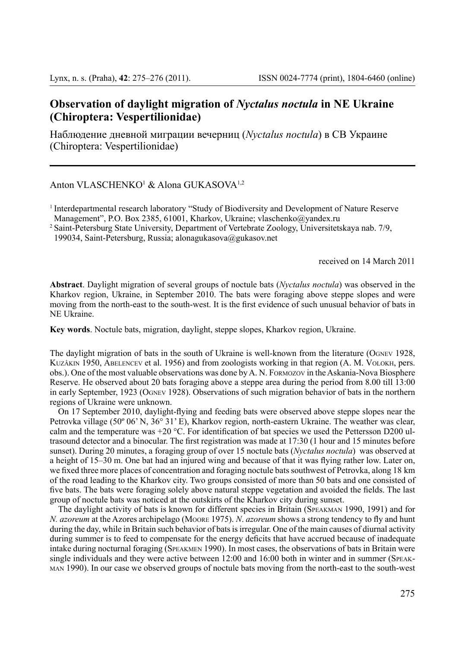## **Observation of daylight migration of** *Nyctalus noctula* **in NE Ukraine (Chiroptera: Vespertilionidae)**

Наблюдение дневной миграции вечерниц (*Nyctalus noctula*) в СВ Украине (Chiroptera: Vespertilionidae)

Anton VLASCHENKO<sup>1</sup> & Alona GUKASOVA<sup>1,2</sup>

<sup>1</sup> Interdepartmental research laboratory "Study of Biodiversity and Development of Nature Reserve Management", P.O. Box 2385, 61001, Kharkov, Ukraine; vlaschenko@yandex.ru

<sup>2</sup> Saint-Petersburg State University, Department of Vertebrate Zoology, Universitetskaya nab. 7/9,

199034, Saint-Petersburg, Russia; alonagukasova@gukasov.net

received on 14 March 2011

**Abstract**. Daylight migration of several groups of noctule bats (*Nyctalus noctula*) was observed in the Kharkov region, Ukraine, in September 2010. The bats were foraging above steppe slopes and were moving from the north-east to the south-west. It is the first evidence of such unusual behavior of bats in NE Ukraine.

**Key words**. Noctule bats, migration, daylight, steppe slopes, Kharkov region, Ukraine.

The daylight migration of bats in the south of Ukraine is well-known from the literature (Ognev 1928, Kuzâkin 1950, Abelencev et al. 1956) and from zoologists working in that region (A. M. Volokh, pers. obs.). One of the most valuable observations was done by A. N. Formozov in the Askania-Nova Biosphere Reserve. He observed about 20 bats foraging above a steppe area during the period from 8.00 till 13:00 in early September, 1923 (Ognev 1928). Observations of such migration behavior of bats in the northern regions of Ukraine were unknown.

On 17 September 2010, daylight-flying and feeding bats were observed above steppe slopes near the Petrovka village (50º 06' N, 36° 31' E), Kharkov region, north-eastern Ukraine. The weather was clear, calm and the temperature was  $+20$  °C. For identification of bat species we used the Pettersson D200 ultrasound detector and a binocular. The first registration was made at 17:30 (1 hour and 15 minutes before sunset). During 20 minutes, a foraging group of over 15 noctule bats (*Nyctalus noctula*) was observed at a height of 15–30 m. One bat had an injured wing and because of that it was flying rather low. Later on, we fixed three more places of concentration and foraging noctule bats southwest of Petrovka, along 18 km of the road leading to the Kharkov city. Two groups consisted of more than 50 bats and one consisted of five bats. The bats were foraging solely above natural steppe vegetation and avoided the fields. The last group of noctule bats was noticed at the outskirts of the Kharkov city during sunset.

The daylight activity of bats is known for different species in Britain (Speakman 1990, 1991) and for *N. azoreum* at the Azores archipelago (Moore 1975). *N*. *azoreum* shows a strong tendency to fly and hunt during the day, while in Britain such behavior of bats is irregular. One of the main causes of diurnal activity during summer is to feed to compensate for the energy deficits that have accrued because of inadequate intake during nocturnal foraging (Speakmen 1990). In most cases, the observations of bats in Britain were single individuals and they were active between 12:00 and 16:00 both in winter and in summer (SPEAKman 1990). In our case we observed groups of noctule bats moving from the north-east to the south-west